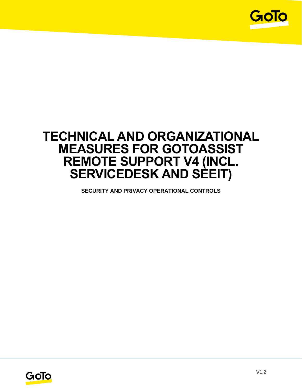

# **TECHNICAL AND ORGANIZATIONAL MEASURES FOR GOTOASSIST REMOTE SUPPORT V4 (INCL. SERVICEDESK AND SEEIT)**

**SECURITY AND PRIVACY OPERATIONAL CONTROLS**

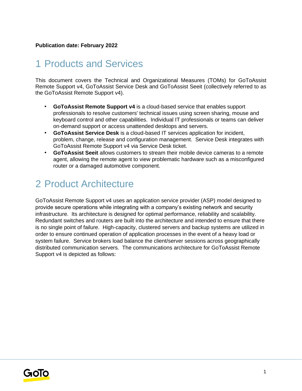#### **Publication date: February 2022**

## 1 Products and Services

This document covers the Technical and Organizational Measures (TOMs) for GoToAssist Remote Support v4, GoToAssist Service Desk and GoToAssist Seeit (collectively referred to as the GoToAssist Remote Support v4).

- **GoToAssist Remote Support v4** is a cloud-based service that enables support professionals to resolve customers' technical issues using screen sharing, mouse and keyboard control and other capabilities. Individual IT professionals or teams can deliver on-demand support or access unattended desktops and servers.
- **GoToAssist Service Desk** is a cloud-based IT services application for incident, problem, change, release and configuration management. Service Desk integrates with GoToAssist Remote Support v4 via Service Desk ticket.
- **GoToAssist Seeit** allows customers to stream their mobile device cameras to a remote agent, allowing the remote agent to view problematic hardware such as a misconfigured router or a damaged automotive component.

## 2 Product Architecture

GoToAssist Remote Support v4 uses an application service provider (ASP) model designed to provide secure operations while integrating with a company's existing network and security infrastructure. Its architecture is designed for optimal performance, reliability and scalability. Redundant switches and routers are built into the architecture and intended to ensure that there is no single point of failure. High-capacity, clustered servers and backup systems are utilized in order to ensure continued operation of application processes in the event of a heavy load or system failure. Service brokers load balance the client/server sessions across geographically distributed communication servers. The communications architecture for GoToAssist Remote Support v4 is depicted as follows:

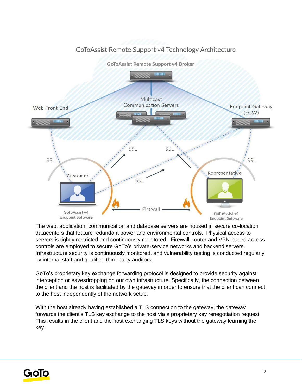

#### GoToAssist Remote Support v4 Technology Architecture

The web, application, communication and database servers are housed in secure co-location datacenters that feature redundant power and environmental controls. Physical access to servers is tightly restricted and continuously monitored. Firewall, router and VPN-based access controls are employed to secure GoTo's private-service networks and backend servers. Infrastructure security is continuously monitored, and vulnerability testing is conducted regularly by internal staff and qualified third-party auditors.

GoTo's proprietary key exchange forwarding protocol is designed to provide security against interception or eavesdropping on our own infrastructure. Specifically, the connection between the client and the host is facilitated by the gateway in order to ensure that the client can connect to the host independently of the network setup.

With the host already having established a TLS connection to the gateway, the gateway forwards the client's TLS key exchange to the host via a proprietary key renegotiation request. This results in the client and the host exchanging TLS keys without the gateway learning the key.

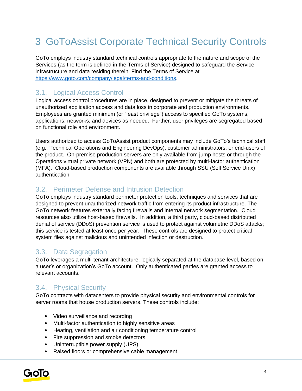# 3 GoToAssist Corporate Technical Security Controls

GoTo employs industry standard technical controls appropriate to the nature and scope of the Services (as the term is defined in the Terms of Service) designed to safeguard the Service infrastructure and data residing therein. Find the Terms of Service at [https://www.goto.com/company/legal/terms-and-conditions.](https://www.goto.com/company/legal/terms-and-conditions)

### 3.1. Logical Access Control

Logical access control procedures are in place, designed to prevent or mitigate the threats of unauthorized application access and data loss in corporate and production environments. Employees are granted minimum (or "least privilege") access to specified GoTo systems, applications, networks, and devices as needed. Further, user privileges are segregated based on functional role and environment.

Users authorized to access GoToAssist product components may include GoTo's technical staff (e.g., Technical Operations and Engineering DevOps), customer administrators, or end-users of the product. On-premise production servers are only available from jump hosts or through the Operations virtual private network (VPN) and both are protected by multi-factor authentication (MFA). Cloud-based production components are available through SSU (Self Service Unix) authentication.

#### 3.2. Perimeter Defense and Intrusion Detection

GoTo employs industry standard perimeter protection tools, techniques and services that are designed to prevent unauthorized network traffic from entering its product infrastructure. The GoTo network features externally facing firewalls and internal network segmentation. Cloud resources also utilize host-based firewalls. In addition, a third party, cloud-based distributed denial of service (DDoS) prevention service is used to protect against volumetric DDoS attacks; this service is tested at least once per year. These controls are designed to protect critical system files against malicious and unintended infection or destruction.

#### 3.3. Data Segregation

GoTo leverages a multi-tenant architecture, logically separated at the database level, based on a user's or organization's GoTo account. Only authenticated parties are granted access to relevant accounts.

#### 3.4. Physical Security

GoTo contracts with datacenters to provide physical security and environmental controls for server rooms that house production servers. These controls include:

- Video surveillance and recording
- Multi-factor authentication to highly sensitive areas
- Heating, ventilation and air conditioning temperature control
- Fire suppression and smoke detectors
- Uninterruptible power supply (UPS)
- Raised floors or comprehensive cable management

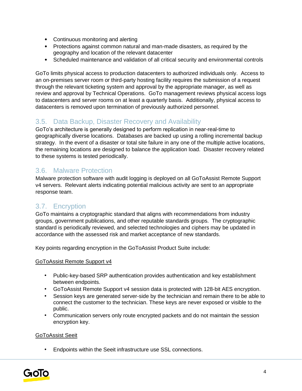- Continuous monitoring and alerting
- Protections against common natural and man-made disasters, as required by the geography and location of the relevant datacenter
- Scheduled maintenance and validation of all critical security and environmental controls

GoTo limits physical access to production datacenters to authorized individuals only. Access to an on-premises server room or third-party hosting facility requires the submission of a request through the relevant ticketing system and approval by the appropriate manager, as well as review and approval by Technical Operations. GoTo management reviews physical access logs to datacenters and server rooms on at least a quarterly basis. Additionally, physical access to datacenters is removed upon termination of previously authorized personnel.

### 3.5. Data Backup, Disaster Recovery and Availability

GoTo's architecture is generally designed to perform replication in near-real-time to geographically diverse locations. Databases are backed up using a rolling incremental backup strategy. In the event of a disaster or total site failure in any one of the multiple active locations, the remaining locations are designed to balance the application load. Disaster recovery related to these systems is tested periodically.

### 3.6. Malware Protection

Malware protection software with audit logging is deployed on all GoToAssist Remote Support v4 servers. Relevant alerts indicating potential malicious activity are sent to an appropriate response team.

## 3.7. Encryption

GoTo maintains a cryptographic standard that aligns with recommendations from industry groups, government publications, and other reputable standards groups. The cryptographic standard is periodically reviewed, and selected technologies and ciphers may be updated in accordance with the assessed risk and market acceptance of new standards.

Key points regarding encryption in the GoToAssist Product Suite include:

#### GoToAssist Remote Support v4

- Public-key-based SRP authentication provides authentication and key establishment between endpoints.
- GoToAssist Remote Support v4 session data is protected with 128-bit AES encryption.
- Session keys are generated server-side by the technician and remain there to be able to connect the customer to the technician. These keys are never exposed or visible to the public.
- Communication servers only route encrypted packets and do not maintain the session encryption key.

#### GoToAssist Seeit

• Endpoints within the Seeit infrastructure use SSL connections.

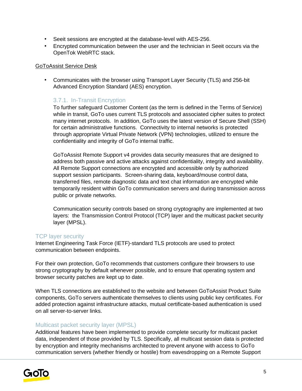- Seeit sessions are encrypted at the database-level with AES-256.
- Encrypted communication between the user and the technician in Seeit occurs via the OpenTok WebRTC stack.

#### GoToAssist Service Desk

• Communicates with the browser using Transport Layer Security (TLS) and 256-bit Advanced Encryption Standard (AES) encryption.

#### 3.7.1. In-Transit Encryption

To further safeguard Customer Content (as the term is defined in the Terms of Service) while in transit, GoTo uses current TLS protocols and associated cipher suites to protect many internet protocols. In addition, GoTo uses the latest version of Secure Shell (SSH) for certain administrative functions. Connectivity to internal networks is protected through appropriate Virtual Private Network (VPN) technologies, utilized to ensure the confidentiality and integrity of GoTo internal traffic.

GoToAssist Remote Support v4 provides data security measures that are designed to address both passive and active attacks against confidentiality, integrity and availability. All Remote Support connections are encrypted and accessible only by authorized support session participants. Screen-sharing data, keyboard/mouse control data, transferred files, remote diagnostic data and text chat information are encrypted while temporarily resident within GoTo communication servers and during transmission across public or private networks.

Communication security controls based on strong cryptography are implemented at two layers: the Transmission Control Protocol (TCP) layer and the multicast packet security layer (MPSL).

#### TCP layer security

Internet Engineering Task Force (IETF)-standard TLS protocols are used to protect communication between endpoints.

For their own protection, GoTo recommends that customers configure their browsers to use strong cryptography by default whenever possible, and to ensure that operating system and browser security patches are kept up to date.

When TLS connections are established to the website and between GoToAssist Product Suite components, GoTo servers authenticate themselves to clients using public key certificates. For added protection against infrastructure attacks, mutual certificate-based authentication is used on all server-to-server links.

#### Multicast packet security layer (MPSL)

Additional features have been implemented to provide complete security for multicast packet data, independent of those provided by TLS. Specifically, all multicast session data is protected by encryption and integrity mechanisms architected to prevent anyone with access to GoTo communication servers (whether friendly or hostile) from eavesdropping on a Remote Support

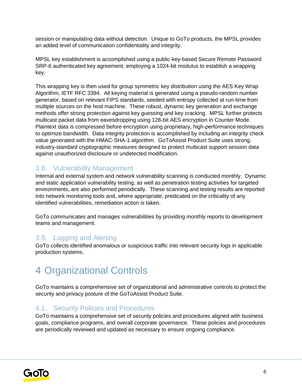session or manipulating data without detection. Unique to GoTo products, the MPSL provides an added level of communication confidentiality and integrity.

MPSL key establishment is accomplished using a public-key-based Secure Remote Password SRP-6 authenticated key agreement, employing a 1024-bit modulus to establish a wrapping key.

This wrapping key is then used for group symmetric key distribution using the AES Key Wrap Algorithm, IETF RFC 3394. All keying material is generated using a pseudo-random number generator, based on relevant FIPS standards, seeded with entropy collected at run-time from multiple sources on the host machine. These robust, dynamic key generation and exchange methods offer strong protection against key guessing and key cracking. MPSL further protects multicast packet data from eavesdropping using 128-bit AES encryption in Counter Mode. Plaintext data is compressed before encryption using proprietary, high-performance techniques to optimize bandwidth. Data integrity protection is accomplished by including an integrity check value generated with the HMAC-SHA-1 algorithm. GoToAssist Product Suite uses strong, industry-standard cryptographic measures designed to protect multicast support session data against unauthorized disclosure or undetected modification.

#### 3.8. Vulnerability Management

Internal and external system and network vulnerability scanning is conducted monthly. Dynamic and static application vulnerability testing, as well as penetration testing activities for targeted environments, are also performed periodically. These scanning and testing results are reported into network monitoring tools and, where appropriate, predicated on the criticality of any identified vulnerabilities, remediation action is taken.

GoTo communicates and manages vulnerabilities by providing monthly reports to development teams and management.

#### 3.9. Logging and Alerting

GoTo collects identified anomalous or suspicious traffic into relevant security logs in applicable production systems.

## 4 Organizational Controls

GoTo maintains a comprehensive set of organizational and administrative controls to protect the security and privacy posture of the GoToAssist Product Suite.

#### 4.1. Security Policies and Procedures

GoTo maintains a comprehensive set of security policies and procedures aligned with business goals, compliance programs, and overall corporate governance. These policies and procedures are periodically reviewed and updated as necessary to ensure ongoing compliance.

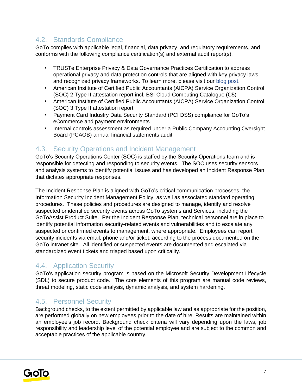## 4.2. Standards Compliance

GoTo complies with applicable legal, financial, data privacy, and regulatory requirements, and conforms with the following compliance certification(s) and external audit report(s):

- TRUSTe Enterprise Privacy & Data Governance Practices Certification to address operational privacy and data protection controls that are aligned with key privacy laws and recognized privacy frameworks. To learn more, please visit ou[r](https://blog.logmeininc.com/logmein-furthers-commitment-to-data-privacy-with-truste-enterprise-privacy-certification-seal/?lang=en) [blog post](https://www.goto.com/blog/logmein-furthers-commitment-to-data-privacy-with-truste-enterprise-privacy-certification-seal)[.](https://blog.logmeininc.com/logmein-furthers-commitment-to-data-privacy-with-truste-enterprise-privacy-certification-seal/?lang=en)
- American Institute of Certified Public Accountants (AICPA) Service Organization Control (SOC) 2 Type II attestation report incl. BSI Cloud Computing Catalogue (C5)
- American Institute of Certified Public Accountants (AICPA) Service Organization Control (SOC) 3 Type II attestation report
- Payment Card Industry Data Security Standard (PCI DSS) compliance for GoTo's eCommerce and payment environments
- Internal controls assessment as required under a Public Company Accounting Oversight Board (PCAOB) annual financial statements audit

#### 4.3. Security Operations and Incident Management

GoTo's Security Operations Center (SOC) is staffed by the Security Operations team and is responsible for detecting and responding to security events. The SOC uses security sensors and analysis systems to identify potential issues and has developed an Incident Response Plan that dictates appropriate responses.

The Incident Response Plan is aligned with GoTo's critical communication processes, the Information Security Incident Management Policy, as well as associated standard operating procedures. These policies and procedures are designed to manage, identify and resolve suspected or identified security events across GoTo systems and Services, including the GoToAssist Product Suite. Per the Incident Response Plan, technical personnel are in place to identify potential information security-related events and vulnerabilities and to escalate any suspected or confirmed events to management, where appropriate. Employees can report security incidents via email, phone and/or ticket, according to the process documented on the GoTo intranet site. All identified or suspected events are documented and escalated via standardized event tickets and triaged based upon criticality.

## 4.4. Application Security

GoTo's application security program is based on the Microsoft Security Development Lifecycle (SDL) to secure product code. The core elements of this program are manual code reviews, threat modeling, static code analysis, dynamic analysis, and system hardening.

#### 4.5. Personnel Security

Background checks, to the extent permitted by applicable law and as appropriate for the position, are performed globally on new employees prior to the date of hire. Results are maintained within an emplovee's job record. Background check criteria will vary depending upon the laws, job responsibility and leadership level of the potential employee and are subject to the common and acceptable practices of the applicable country.

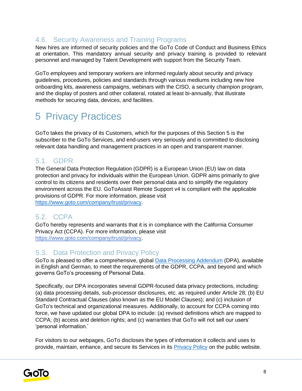### 4.6. Security Awareness and Training Programs

New hires are informed of security policies and the GoTo Code of Conduct and Business Ethics at orientation. This mandatory annual security and privacy training is provided to relevant personnel and managed by Talent Development with support from the Security Team.

GoTo employees and temporary workers are informed regularly about security and privacy guidelines, procedures, policies and standards through various mediums including new hire onboarding kits, awareness campaigns, webinars with the CISO, a security champion program, and the display of posters and other collateral, rotated at least bi-annually, that illustrate methods for securing data, devices, and facilities.

## 5 Privacy Practices

GoTo takes the privacy of its Customers, which for the purposes of this Section 5 is the subscriber to the GoTo Services, and end-users very seriously and is committed to disclosing relevant data handling and management practices in an open and transparent manner.

### 5.1. GDPR

The General Data Protection Regulation (GDPR) is a European Union (EU) law on data protection and privacy for individuals within the European Union. GDPR aims primarily to give control to its citizens and residents over their personal data and to simplify the regulatory environment across the EU. GoToAssist Remote Support v4 is compliant with the applicable provisions of GDPR. For more information, please visit [https://www.goto.com/company/trust/privacy.](https://www.goto.com/company/trust/privacy)

#### 5.2. CCPA

GoTo hereby represents and warrants that it is in compliance with the California Consumer Privacy Act (CCPA). For more information, please visit <https://www.goto.com/company/trust/privacy>[.](http://www.logmeininc.com/trust/privacy.)

#### 5.3. Data Protection and Privacy Policy

GoTo is pleased to offer a comprehensive, global [Data Processing Addendum](https://www.goto.com/company/legal) (DPA), available in [English](https://www.docusign.net/Member/PowerFormSigning.aspx?PowerFormId=87db4c61-3929-4ccb-ab58-b202e064c4a1) [a](https://www.docusign.net/Member/PowerFormSigning.aspx?PowerFormId=87db4c61-3929-4ccb-ab58-b202e064c4a1)nd [German,](https://www.docusign.net/Member/PowerFormSigning.aspx?PowerFormId=29541afa-3cf0-4d7c-90f8-e971a0866b8e&env=na1) to meet the requirements of the GDPR, CCPA, and beyond and which governs GoTo's processing of Personal Data.

Specifically, our DPA incorporates several GDPR-focused data privacy protections, including: (a) data processing details, sub-processor disclosures, etc. as required under Article 28; (b) EU Standard Contractual Clauses (also known as the EU Model Clauses); and (c) inclusion of GoTo's technical and organizational measures. Additionally, to account for CCPA coming into force, we have updated our global DPA to include: (a) revised definitions which are mapped to CCPA; (b) access and deletion rights; and (c) warranties that GoTo will not sell our users' 'personal information.'

For visitors to our webpages, GoTo discloses the types of information it collects and uses to provide, maintain, enhance, and secure its Services in its [Privacy Policy](https://www.goto.com/company/legal/privacy) on the public website.

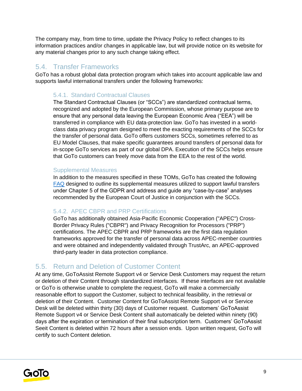The company may, from time to time, update the Privacy Policy to reflect changes to its information practices and/or changes in applicable law, but will provide notice on its website for any material changes prior to any such change taking effect.

#### 5.4. Transfer Frameworks

GoTo has a robust global data protection program which takes into account applicable law and supports lawful international transfers under the following frameworks:

#### 5.4.1. Standard Contractual Clauses

The Standard Contractual Clauses (or "SCCs") are standardized contractual terms, recognized and adopted by the European Commission, whose primary purpose are to ensure that any personal data leaving the European Economic Area ("EEA") will be transferred in compliance with EU data-protection law. GoTo has invested in a worldclass data privacy program designed to meet the exacting requirements of the SCCs for the transfer of personal data. GoTo offers customers SCCs, sometimes referred to as EU Model Clauses, that make specific guarantees around transfers of personal data for in-scope GoTo services as part of our global DPA. Execution of the SCCs helps ensure that GoTo customers can freely move data from the EEA to the rest of the world.

#### Supplemental Measures

In addition to the measures specified in these TOMs, GoTo has created the following [FAQ](https://logmeincdn.azureedge.net/legal/international-data-transfers-faq.pdf) designed to outline its supplemental measures utilized to support lawful transfers under Chapter 5 of the GDPR and address and guide any "case-by-case" analyses recommended by the European Court of Justice in conjunction with the SCCs.

#### 5.4.2. APEC CBPR and PRP Certifications

GoTo has additionally obtained Asia-Pacific Economic Cooperation ("APEC") Cross-Border Privacy Rules ("CBPR") and Privacy Recognition for Processors ("PRP") certifications. The APEC CBPR and PRP frameworks are the first data regulation frameworks approved for the transfer of personal data across APEC-member countries and were obtained and independently validated through TrustArc, an APEC-approved third-party leader in data protection compliance.

#### 5.5. Return and Deletion of Customer Content

At any time, GoToAssist Remote Support v4 or Service Desk Customers may request the return or deletion of their Content through standardized interfaces. If these interfaces are not available or GoTo is otherwise unable to complete the request, GoTo will make a commercially reasonable effort to support the Customer, subject to technical feasibility, in the retrieval or deletion of their Content. Customer Content for GoToAssist Remote Support v4 or Service Desk will be deleted within thirty (30) days of Customer request. Customers' GoToAssist Remote Support v4 or Service Desk Content shall automatically be deleted within ninety (90) days after the expiration or termination of their final subscription term. Customers' GoToAssist Seeit Content is deleted within 72 hours after a session ends. Upon written request, GoTo will certify to such Content deletion.

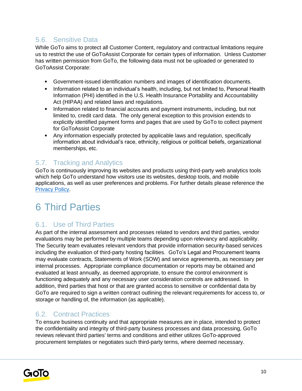### 5.6. Sensitive Data

While GoTo aims to protect all Customer Content, regulatory and contractual limitations require us to restrict the use of GoToAssist Corporate for certain types of information. Unless Customer has written permission from GoTo, the following data must not be uploaded or generated to GoToAssist Corporate:

- Government-issued identification numbers and images of identification documents.
- Information related to an individual's health, including, but not limited to, Personal Health Information (PHI) identified in the U.S. Health Insurance Portability and Accountability Act (HIPAA) and related laws and regulations.
- Information related to financial accounts and payment instruments, including, but not limited to, credit card data. The only general exception to this provision extends to explicitly identified payment forms and pages that are used by GoTo to collect payment for GoToAssist Corporate
- Any information especially protected by applicable laws and regulation, specifically information about individual's race, ethnicity, religious or political beliefs, organizational memberships, etc.

### 5.7. Tracking and Analytics

GoTo is continuously improving its websites and products using third-party web analytics tools which help GoTo understand how visitors use its websites, desktop tools, and mobile applications, as well as user preferences and problems. For further details please reference the [Privacy Policy](https://www.goto.com/company/legal/privacy)[.](https://www.logmein.com/legal/privacy)

## 6 Third Parties

## 6.1. Use of Third Parties

As part of the internal assessment and processes related to vendors and third parties, vendor evaluations may be performed by multiple teams depending upon relevancy and applicability. The Security team evaluates relevant vendors that provide information security-based services including the evaluation of third-party hosting facilities. GoTo's Legal and Procurement teams may evaluate contracts, Statements of Work (SOW) and service agreements, as necessary per internal processes. Appropriate compliance documentation or reports may be obtained and evaluated at least annually, as deemed appropriate, to ensure the control environment is functioning adequately and any necessary user consideration controls are addressed. In addition, third parties that host or that are granted access to sensitive or confidential data by GoTo are required to sign a written contract outlining the relevant requirements for access to, or storage or handling of, the information (as applicable).

#### 6.2. Contract Practices

To ensure business continuity and that appropriate measures are in place, intended to protect the confidentiality and integrity of third-party business processes and data processing, GoTo reviews relevant third parties' terms and conditions and either utilizes GoTo-approved procurement templates or negotiates such third-party terms, where deemed necessary.

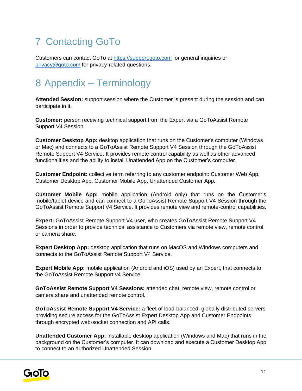# 7 Contacting GoTo

Customers can contact GoTo a[t](https://support.logmeininc.com/) [https://support.goto.com](https://support.goto.com/) for general inquiries or privacy@goto.com for privacy-related questions.

## 8 Appendix – Terminology

**Attended Session:** support session where the Customer is present during the session and can participate in it.

**Customer:** person receiving technical support from the Expert via a GoToAssist Remote Support V4 Session.

**Customer Desktop App:** desktop application that runs on the Customer's computer (Windows or Mac) and connects to a GoToAssist Remote Support V4 Session through the GoToAssist Remote Support V4 Service. It provides remote control capability as well as other advanced functionalities and the ability to install Unattended App on the Customer's computer.

**Customer Endpoint:** collective term referring to any customer endpoint: Customer Web App, Customer Desktop App, Customer Mobile App, Unattended Customer App.

**Customer Mobile App:** mobile application (Android only) that runs on the Customer's mobile/tablet device and can connect to a GoToAssist Remote Support V4 Session through the GoToAssist Remote Support V4 Service. It provides remote view and remote-control capabilities.

**Expert:** GoToAssist Remote Support V4 user, who creates GoToAssist Remote Support V4 Sessions in order to provide technical assistance to Customers via remote view, remote control or camera share.

**Expert Desktop App:** desktop application that runs on MacOS and Windows computers and connects to the GoToAssist Remote Support V4 Service.

**Expert Mobile App:** mobile application (Android and iOS) used by an Expert, that connects to the GoToAssist Remote Support v4 Service.

**GoToAssist Remote Support V4 Sessions:** attended chat, remote view, remote control or camera share and unattended remote control.

**GoToAssist Remote Support V4 Service:** a fleet of load-balanced, globally distributed servers providing secure access for the GoToAssist Expert Desktop App and Customer Endpoints through encrypted web-socket connection and API calls.

**Unattended Customer App:** installable desktop application (Windows and Mac) that runs in the background on the Customer's computer. It can download and execute a Customer Desktop App to connect to an authorized Unattended Session.